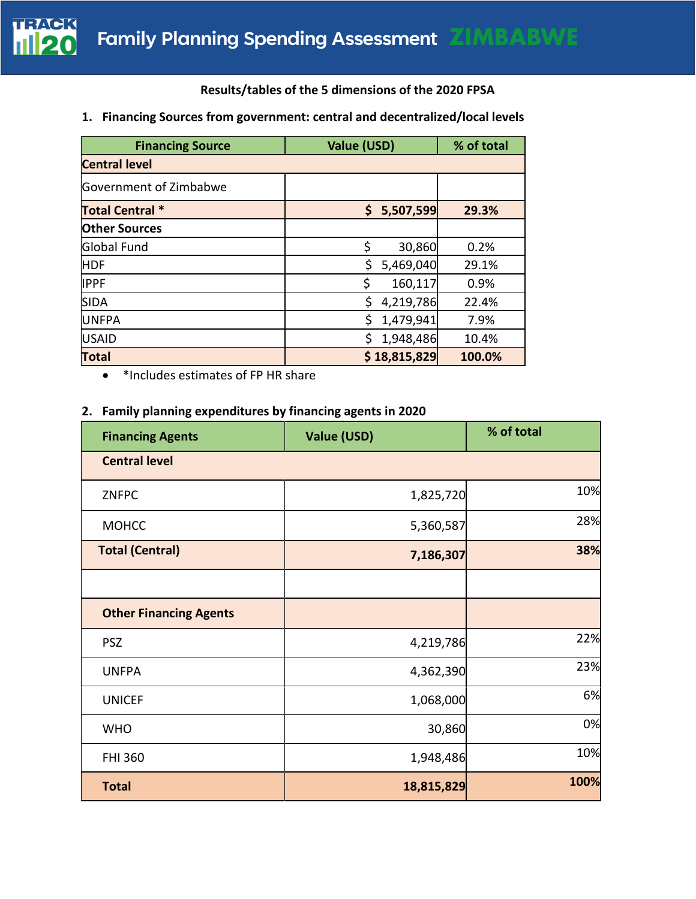## **Results/tables of the 5 dimensions of the 2020 FPSA**

### **1. Financing Sources from government: central and decentralized/local levels**

| <b>Financing Source</b> | Value (USD)     | % of total |  |  |
|-------------------------|-----------------|------------|--|--|
| <b>Central level</b>    |                 |            |  |  |
| Government of Zimbabwe  |                 |            |  |  |
| <b>Total Central *</b>  | \$<br>5,507,599 | 29.3%      |  |  |
| <b>Other Sources</b>    |                 |            |  |  |
| <b>Global Fund</b>      | \$<br>30,860    | 0.2%       |  |  |
| <b>HDF</b>              | Ś<br>5,469,040  | 29.1%      |  |  |
| <b>IPPF</b>             | \$<br>160,117   | 0.9%       |  |  |
| <b>SIDA</b>             | \$<br>4,219,786 | 22.4%      |  |  |
| <b>UNFPA</b>            | \$<br>1,479,941 | 7.9%       |  |  |
| <b>USAID</b>            | Ś<br>1,948,486  | 10.4%      |  |  |
| <b>Total</b>            | \$18,815,829    | 100.0%     |  |  |

• \*Includes estimates of FP HR share

#### **2. Family planning expenditures by financing agents in 2020**

| <b>Financing Agents</b>       | Value (USD) | % of total |
|-------------------------------|-------------|------------|
| <b>Central level</b>          |             |            |
| <b>ZNFPC</b>                  | 1,825,720   | 10%        |
| <b>MOHCC</b>                  | 5,360,587   | 28%        |
| <b>Total (Central)</b>        | 7,186,307   | 38%        |
|                               |             |            |
| <b>Other Financing Agents</b> |             |            |
| <b>PSZ</b>                    | 4,219,786   | 22%        |
| <b>UNFPA</b>                  | 4,362,390   | 23%        |
| <b>UNICEF</b>                 | 1,068,000   | 6%         |
| <b>WHO</b>                    | 30,860      | 0%         |
| <b>FHI 360</b>                | 1,948,486   | 10%        |
| <b>Total</b>                  | 18,815,829  | 100%       |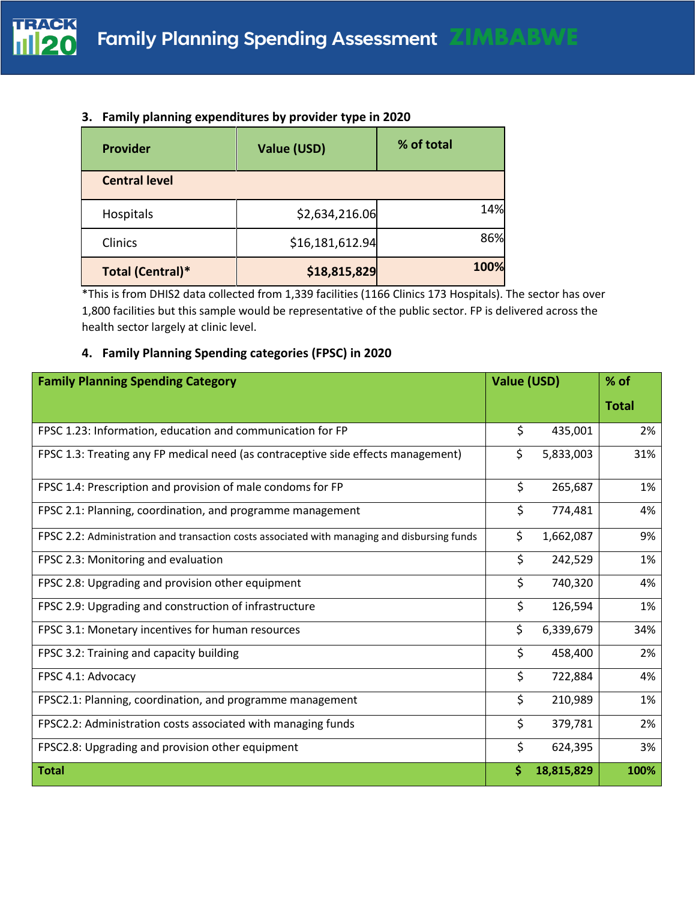### **3. Family planning expenditures by provider type in 2020**

| <b>Provider</b>      | Value (USD)     | % of total |
|----------------------|-----------------|------------|
| <b>Central level</b> |                 |            |
| Hospitals            | \$2,634,216.06  | 14%        |
| Clinics              | \$16,181,612.94 | 86%        |
| Total (Central)*     | \$18,815,829    | 100%       |

\*This is from DHIS2 data collected from 1,339 facilities (1166 Clinics 173 Hospitals). The sector has over 1,800 facilities but this sample would be representative of the public sector. FP is delivered across the health sector largely at clinic level.

## **4. Family Planning Spending categories (FPSC) in 2020**

| <b>Family Planning Spending Category</b>                                                     | <b>Value (USD)</b> |            | $%$ of       |
|----------------------------------------------------------------------------------------------|--------------------|------------|--------------|
|                                                                                              |                    |            | <b>Total</b> |
| FPSC 1.23: Information, education and communication for FP                                   | \$                 | 435,001    | 2%           |
| FPSC 1.3: Treating any FP medical need (as contraceptive side effects management)            | \$                 | 5,833,003  | 31%          |
| FPSC 1.4: Prescription and provision of male condoms for FP                                  | \$                 | 265,687    | 1%           |
| FPSC 2.1: Planning, coordination, and programme management                                   | \$                 | 774,481    | 4%           |
| FPSC 2.2: Administration and transaction costs associated with managing and disbursing funds | \$                 | 1,662,087  | 9%           |
| FPSC 2.3: Monitoring and evaluation                                                          | \$                 | 242,529    | 1%           |
| FPSC 2.8: Upgrading and provision other equipment                                            | \$                 | 740,320    | 4%           |
| FPSC 2.9: Upgrading and construction of infrastructure                                       | \$                 | 126,594    | 1%           |
| FPSC 3.1: Monetary incentives for human resources                                            | \$                 | 6,339,679  | 34%          |
| FPSC 3.2: Training and capacity building                                                     | \$                 | 458,400    | 2%           |
| FPSC 4.1: Advocacy                                                                           | \$                 | 722,884    | 4%           |
| FPSC2.1: Planning, coordination, and programme management                                    | \$                 | 210,989    | 1%           |
| FPSC2.2: Administration costs associated with managing funds                                 | \$                 | 379,781    | 2%           |
| FPSC2.8: Upgrading and provision other equipment                                             | \$                 | 624,395    | 3%           |
| <b>Total</b>                                                                                 | \$                 | 18,815,829 | 100%         |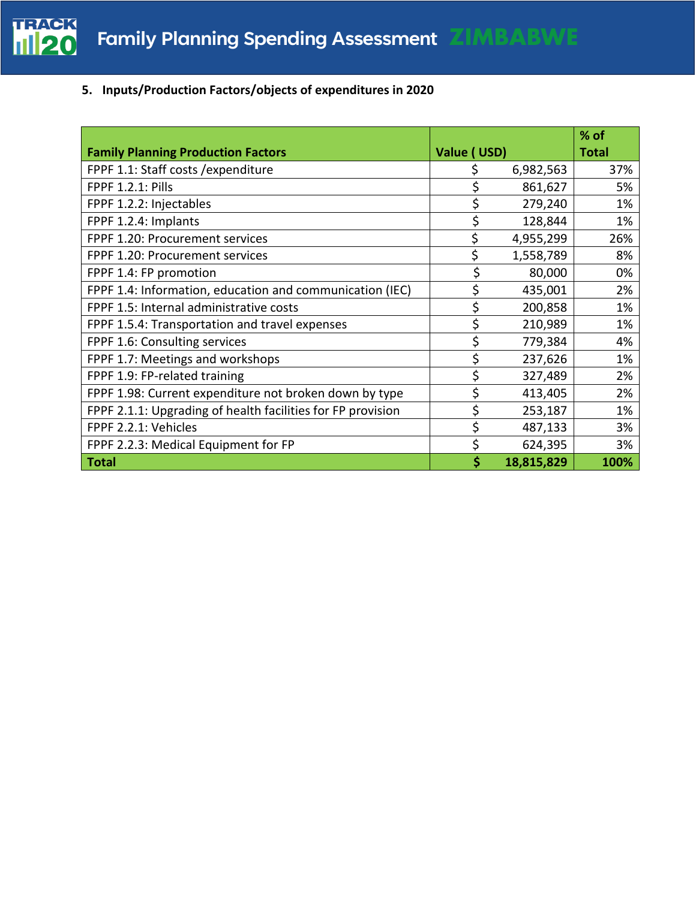

## **5. Inputs/Production Factors/objects of expenditures in 2020**

|                                                             |             |            | $%$ of       |
|-------------------------------------------------------------|-------------|------------|--------------|
| <b>Family Planning Production Factors</b>                   | Value (USD) |            | <b>Total</b> |
| FPPF 1.1: Staff costs / expenditure                         | \$          | 6,982,563  | 37%          |
| <b>FPPF 1.2.1: Pills</b>                                    | \$          | 861,627    | 5%           |
| FPPF 1.2.2: Injectables                                     | \$          | 279,240    | 1%           |
| FPPF 1.2.4: Implants                                        |             | 128,844    | 1%           |
| FPPF 1.20: Procurement services                             | \$          | 4,955,299  | 26%          |
| FPPF 1.20: Procurement services                             | \$          | 1,558,789  | 8%           |
| FPPF 1.4: FP promotion                                      | \$          | 80,000     | 0%           |
| FPPF 1.4: Information, education and communication (IEC)    | \$          | 435,001    | 2%           |
| FPPF 1.5: Internal administrative costs                     | \$          | 200,858    | 1%           |
| FPPF 1.5.4: Transportation and travel expenses              | \$          | 210,989    | 1%           |
| FPPF 1.6: Consulting services                               | \$          | 779,384    | 4%           |
| FPPF 1.7: Meetings and workshops                            | \$          | 237,626    | 1%           |
| FPPF 1.9: FP-related training                               | \$          | 327,489    | 2%           |
| FPPF 1.98: Current expenditure not broken down by type      | \$          | 413,405    | 2%           |
| FPPF 2.1.1: Upgrading of health facilities for FP provision | \$          | 253,187    | 1%           |
| FPPF 2.2.1: Vehicles                                        | \$          | 487,133    | 3%           |
| FPPF 2.2.3: Medical Equipment for FP                        | \$          | 624,395    | 3%           |
| <b>Total</b>                                                | \$          | 18,815,829 | 100%         |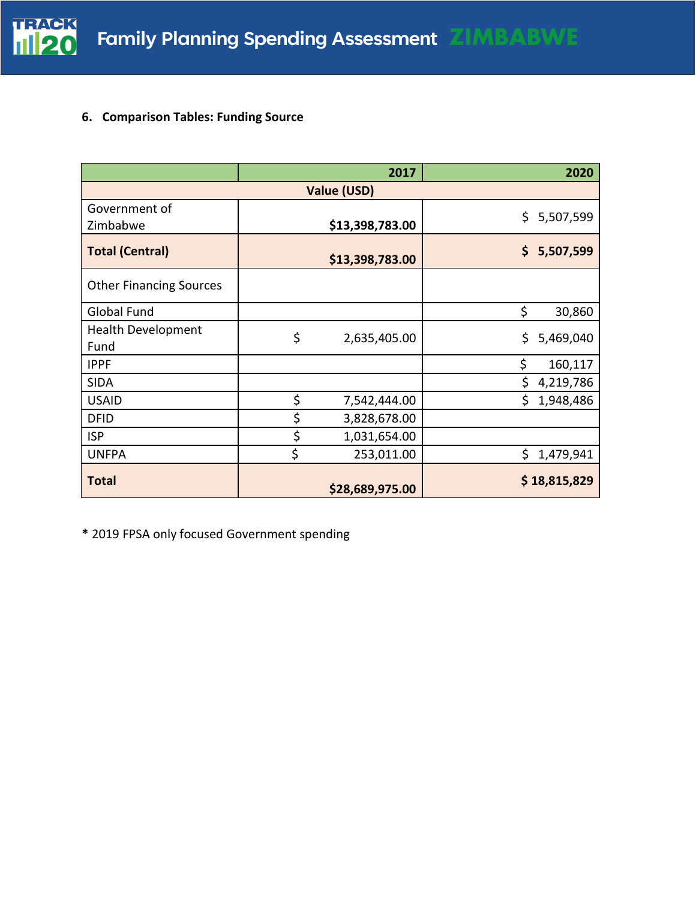

## **6. Comparison Tables: Funding Source**

|                                   |    | 2017            | 2020             |  |
|-----------------------------------|----|-----------------|------------------|--|
| Value (USD)                       |    |                 |                  |  |
| Government of<br>Zimbabwe         |    | \$13,398,783.00 | \$5,507,599      |  |
| <b>Total (Central)</b>            |    | \$13,398,783.00 | \$5,507,599      |  |
| <b>Other Financing Sources</b>    |    |                 |                  |  |
| <b>Global Fund</b>                |    |                 | \$<br>30,860     |  |
| <b>Health Development</b><br>Fund | \$ | 2,635,405.00    | \$.<br>5,469,040 |  |
| <b>IPPF</b>                       |    |                 | \$<br>160,117    |  |
| <b>SIDA</b>                       |    |                 | \$<br>4,219,786  |  |
| <b>USAID</b>                      | \$ | 7,542,444.00    | Ś.<br>1,948,486  |  |
| <b>DFID</b>                       | \$ | 3,828,678.00    |                  |  |
| <b>ISP</b>                        | \$ | 1,031,654.00    |                  |  |
| <b>UNFPA</b>                      | \$ | 253,011.00      | \$<br>1,479,941  |  |
| <b>Total</b>                      |    | \$28,689,975.00 | \$18,815,829     |  |

**\*** 2019 FPSA only focused Government spending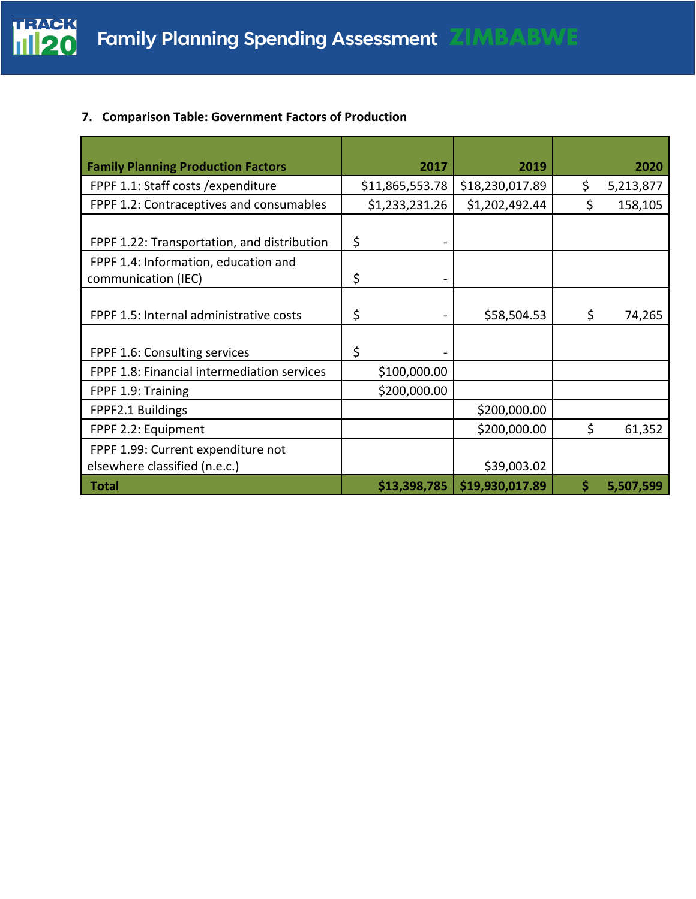

## **7. Comparison Table: Government Factors of Production**

| <b>Family Planning Production Factors</b>                           | 2017            | 2019            | 2020            |
|---------------------------------------------------------------------|-----------------|-----------------|-----------------|
| FPPF 1.1: Staff costs / expenditure                                 | \$11,865,553.78 | \$18,230,017.89 | \$<br>5,213,877 |
| FPPF 1.2: Contraceptives and consumables                            | \$1,233,231.26  | \$1,202,492.44  | \$<br>158,105   |
| FPPF 1.22: Transportation, and distribution                         | \$              |                 |                 |
| FPPF 1.4: Information, education and<br>communication (IEC)         | \$              |                 |                 |
| FPPF 1.5: Internal administrative costs                             | \$<br>-         | \$58,504.53     | \$<br>74,265    |
| FPPF 1.6: Consulting services                                       | \$              |                 |                 |
| FPPF 1.8: Financial intermediation services                         | \$100,000.00    |                 |                 |
| FPPF 1.9: Training                                                  | \$200,000.00    |                 |                 |
| FPPF2.1 Buildings                                                   |                 | \$200,000.00    |                 |
| FPPF 2.2: Equipment                                                 |                 | \$200,000.00    | \$<br>61,352    |
| FPPF 1.99: Current expenditure not<br>elsewhere classified (n.e.c.) |                 | \$39,003.02     |                 |
| <b>Total</b>                                                        | \$13,398,785    | \$19,930,017.89 | \$<br>5,507,599 |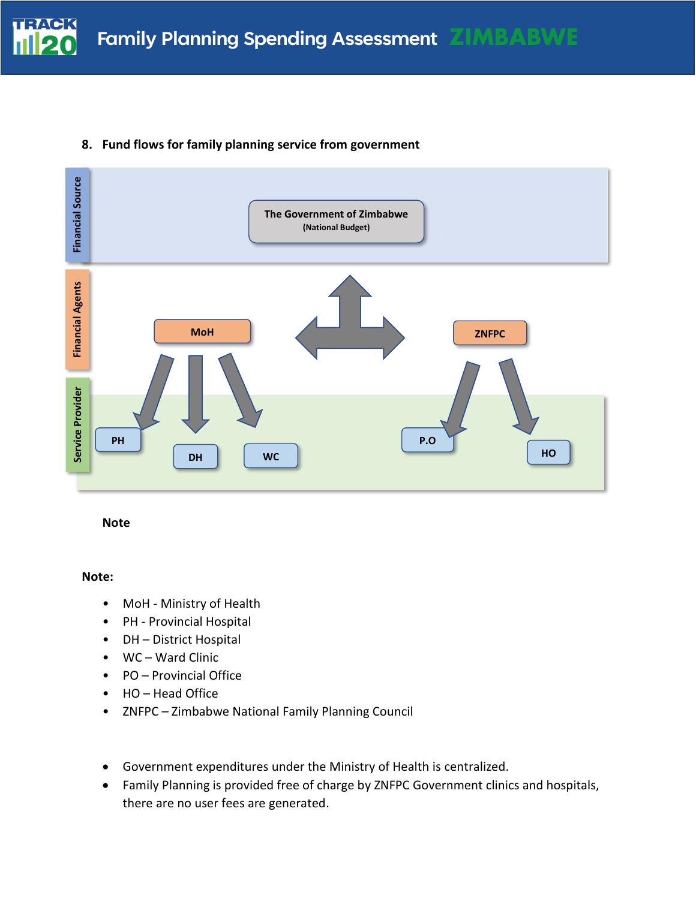



## **8. Fund flows for family planning service from government**

**Note**

#### **Note:**

- MoH Ministry of Health
- PH Provincial Hospital
- DH District Hospital
- WC Ward Clinic
- PO Provincial Office
- HO Head Office
- ZNFPC Zimbabwe National Family Planning Council
- Government expenditures under the Ministry of Health is centralized.
- Family Planning is provided free of charge by ZNFPC Government clinics and hospitals, there are no user fees are generated.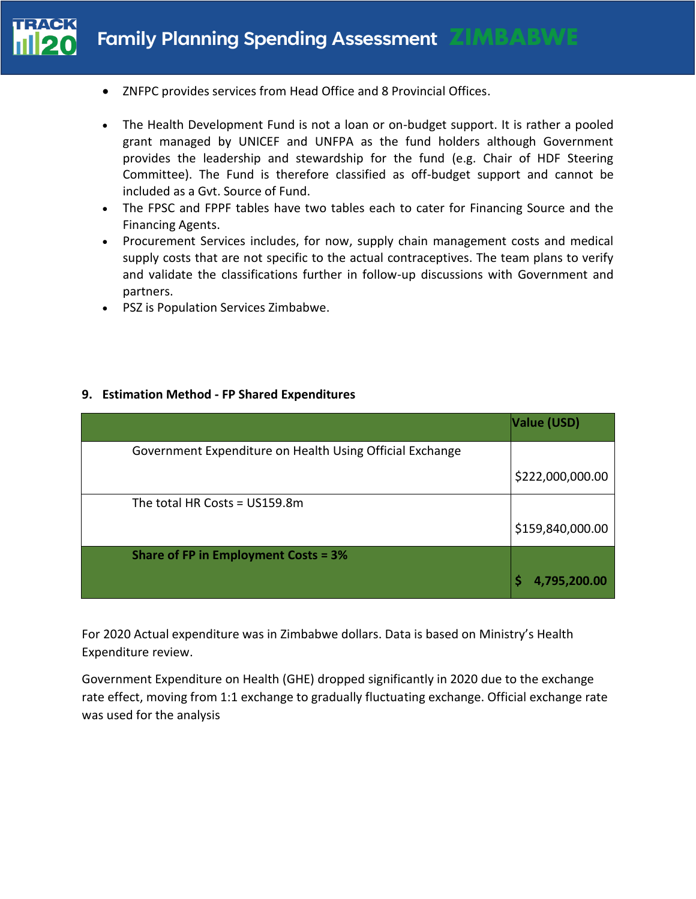# **Family Planning Spending Assessment ZIM**

- ZNFPC provides services from Head Office and 8 Provincial Offices.
- The Health Development Fund is not a loan or on-budget support. It is rather a pooled grant managed by UNICEF and UNFPA as the fund holders although Government provides the leadership and stewardship for the fund (e.g. Chair of HDF Steering Committee). The Fund is therefore classified as off-budget support and cannot be included as a Gvt. Source of Fund.
- The FPSC and FPPF tables have two tables each to cater for Financing Source and the Financing Agents.
- Procurement Services includes, for now, supply chain management costs and medical supply costs that are not specific to the actual contraceptives. The team plans to verify and validate the classifications further in follow-up discussions with Government and partners.
- PSZ is Population Services Zimbabwe.

#### **9. Estimation Method - FP Shared Expenditures**

|                                                          | Value (USD)      |
|----------------------------------------------------------|------------------|
| Government Expenditure on Health Using Official Exchange |                  |
|                                                          | \$222,000,000.00 |
| The total HR Costs = US159.8m                            |                  |
|                                                          | \$159,840,000.00 |
| <b>Share of FP in Employment Costs = 3%</b>              |                  |
|                                                          | 4,795,200.00     |

For 2020 Actual expenditure was in Zimbabwe dollars. Data is based on Ministry's Health Expenditure review.

Government Expenditure on Health (GHE) dropped significantly in 2020 due to the exchange rate effect, moving from 1:1 exchange to gradually fluctuating exchange. Official exchange rate was used for the analysis